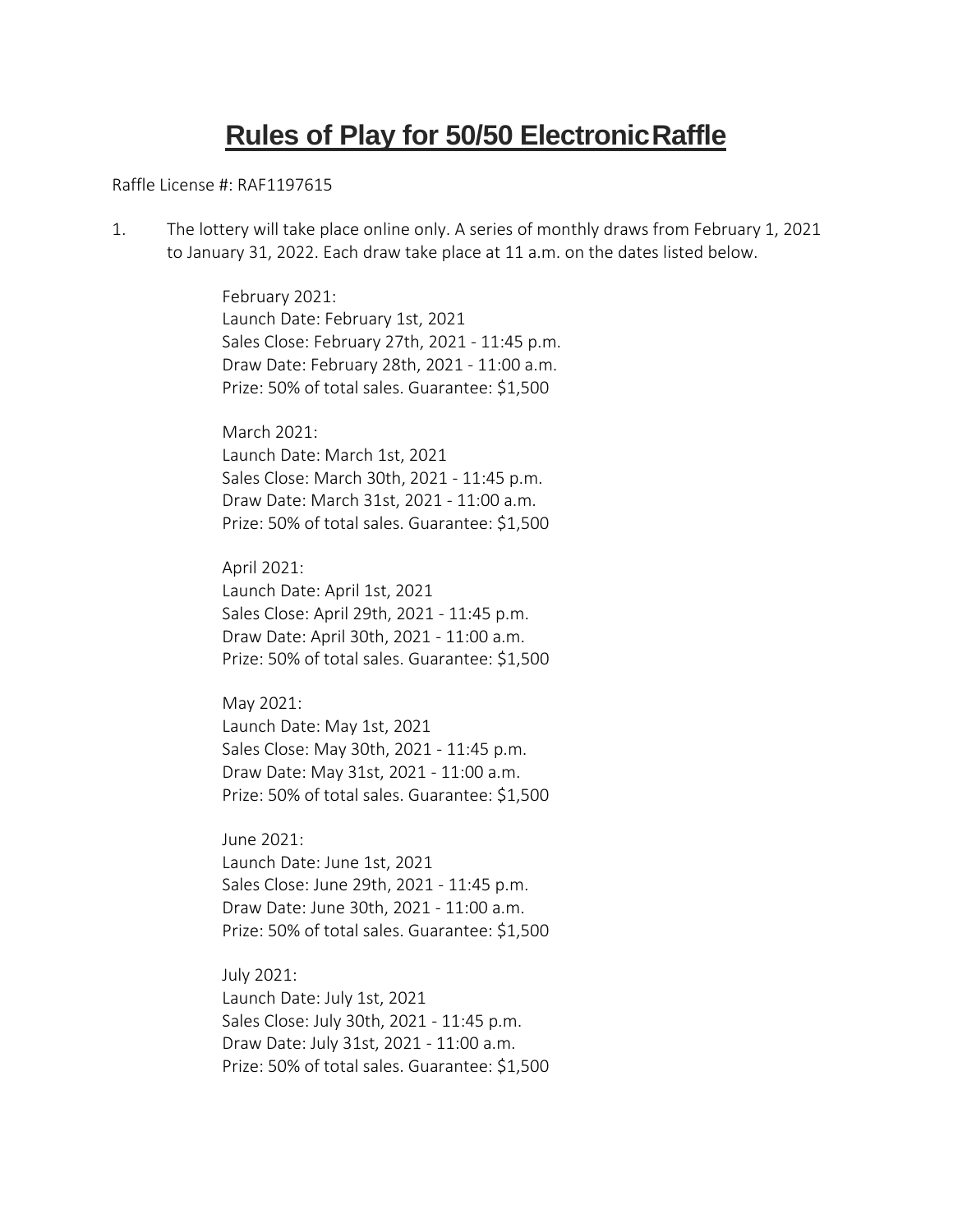## **Rules of Play for 50/50 ElectronicRaffle**

Raffle License #: RAF1197615

1. The lottery will take place online only. A series of monthly draws from February 1, 2021 to January 31, 2022. Each draw take place at 11 a.m. on the dates listed below.

> February 2021: Launch Date: February 1st, 2021 Sales Close: February 27th, 2021 - 11:45 p.m. Draw Date: February 28th, 2021 - 11:00 a.m. Prize: 50% of total sales. Guarantee: \$1,500

March 2021: Launch Date: March 1st, 2021 Sales Close: March 30th, 2021 - 11:45 p.m. Draw Date: March 31st, 2021 - 11:00 a.m. Prize: 50% of total sales. Guarantee: \$1,500

April 2021: Launch Date: April 1st, 2021 Sales Close: April 29th, 2021 - 11:45 p.m. Draw Date: April 30th, 2021 - 11:00 a.m. Prize: 50% of total sales. Guarantee: \$1,500

May 2021: Launch Date: May 1st, 2021 Sales Close: May 30th, 2021 - 11:45 p.m. Draw Date: May 31st, 2021 - 11:00 a.m. Prize: 50% of total sales. Guarantee: \$1,500

June 2021: Launch Date: June 1st, 2021 Sales Close: June 29th, 2021 - 11:45 p.m. Draw Date: June 30th, 2021 - 11:00 a.m. Prize: 50% of total sales. Guarantee: \$1,500

July 2021: Launch Date: July 1st, 2021 Sales Close: July 30th, 2021 - 11:45 p.m. Draw Date: July 31st, 2021 - 11:00 a.m. Prize: 50% of total sales. Guarantee: \$1,500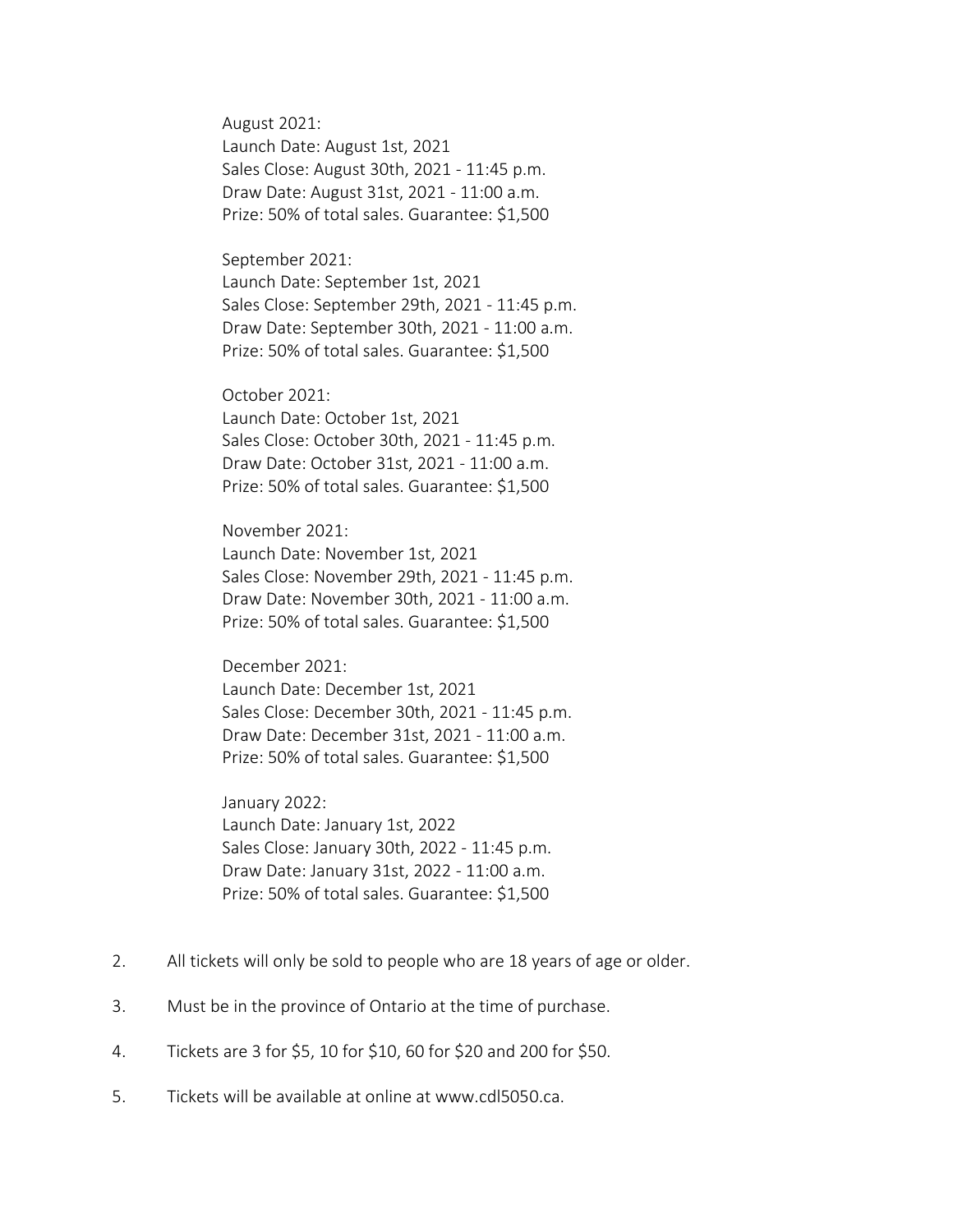August 2021: Launch Date: August 1st, 2021 Sales Close: August 30th, 2021 - 11:45 p.m. Draw Date: August 31st, 2021 - 11:00 a.m. Prize: 50% of total sales. Guarantee: \$1,500

September 2021: Launch Date: September 1st, 2021 Sales Close: September 29th, 2021 - 11:45 p.m. Draw Date: September 30th, 2021 - 11:00 a.m. Prize: 50% of total sales. Guarantee: \$1,500

October 2021: Launch Date: October 1st, 2021 Sales Close: October 30th, 2021 - 11:45 p.m. Draw Date: October 31st, 2021 - 11:00 a.m. Prize: 50% of total sales. Guarantee: \$1,500

November 2021: Launch Date: November 1st, 2021 Sales Close: November 29th, 2021 - 11:45 p.m. Draw Date: November 30th, 2021 - 11:00 a.m. Prize: 50% of total sales. Guarantee: \$1,500

December 2021: Launch Date: December 1st, 2021 Sales Close: December 30th, 2021 - 11:45 p.m. Draw Date: December 31st, 2021 - 11:00 a.m. Prize: 50% of total sales. Guarantee: \$1,500

January 2022: Launch Date: January 1st, 2022 Sales Close: January 30th, 2022 - 11:45 p.m. Draw Date: January 31st, 2022 - 11:00 a.m. Prize: 50% of total sales. Guarantee: \$1,500

- 2. All tickets will only be sold to people who are 18 years of age or older.
- 3. Must be in the province of Ontario at the time of purchase.
- 4. Tickets are 3 for \$5, 10 for \$10, 60 for \$20 and 200 for \$50.
- 5. Tickets will be available at online at www.cdl5050.ca.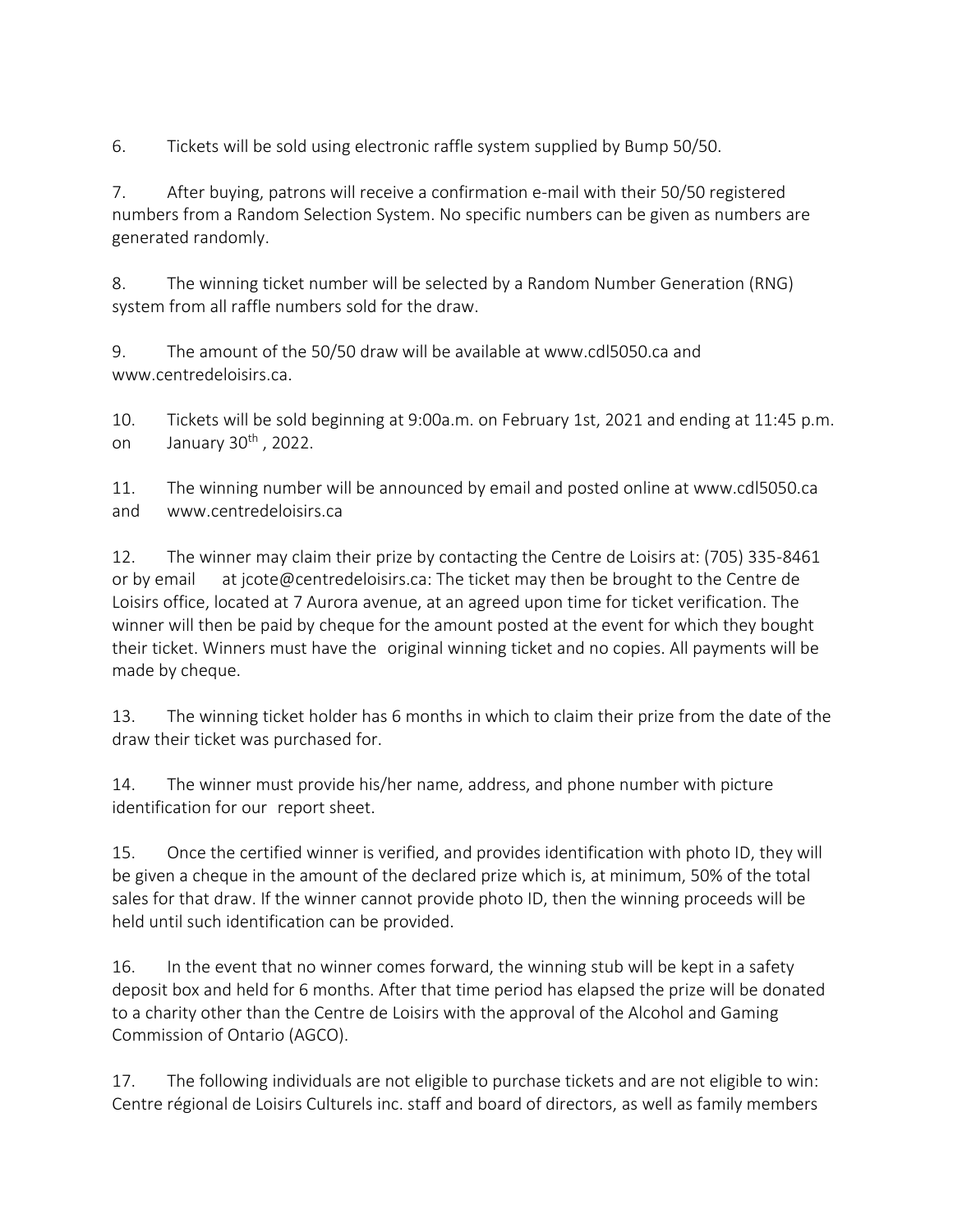6. Tickets will be sold using electronic raffle system supplied by Bump 50/50.

7. After buying, patrons will receive a confirmation e-mail with their 50/50 registered numbers from a Random Selection System. No specific numbers can be given as numbers are generated randomly.

8. The winning ticket number will be selected by a Random Number Generation (RNG) system from all raffle numbers sold for the draw.

9. The amount of the 50/50 draw will be available at www.cdl5050.ca and www.centredeloisirs.ca.

10. Tickets will be sold beginning at 9:00a.m. on February 1st, 2021 and ending at 11:45 p.m. on January  $30<sup>th</sup>$ , 2022.

11. The winning number will be announced by email and posted online at www.cdl5050.ca and www.centredeloisirs.ca

12. The winner may claim their prize by contacting the Centre de Loisirs at: (705) 335-8461 or by email at jcote@centredeloisirs.ca: The ticket may then be brought to the Centre de Loisirs office, located at 7 Aurora avenue, at an agreed upon time for ticket verification. The winner will then be paid by cheque for the amount posted at the event for which they bought their ticket. Winners must have the original winning ticket and no copies. All payments will be made by cheque.

13. The winning ticket holder has 6 months in which to claim their prize from the date of the draw their ticket was purchased for.

14. The winner must provide his/her name, address, and phone number with picture identification for our report sheet.

15. Once the certified winner is verified, and provides identification with photo ID, they will be given a cheque in the amount of the declared prize which is, at minimum, 50% of the total sales for that draw. If the winner cannot provide photo ID, then the winning proceeds will be held until such identification can be provided.

16. In the event that no winner comes forward, the winning stub will be kept in a safety deposit box and held for 6 months. After that time period has elapsed the prize will be donated to a charity other than the Centre de Loisirs with the approval of the Alcohol and Gaming Commission of Ontario (AGCO).

17. The following individuals are not eligible to purchase tickets and are not eligible to win: Centre régional de Loisirs Culturels inc. staff and board of directors, as well as family members